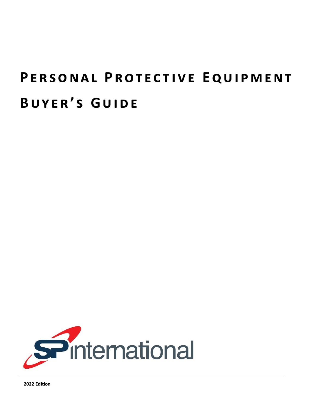# PERSONAL PROTECTIVE EQUIPMENT **B u y e r ' s G u i d e**



2022 Edition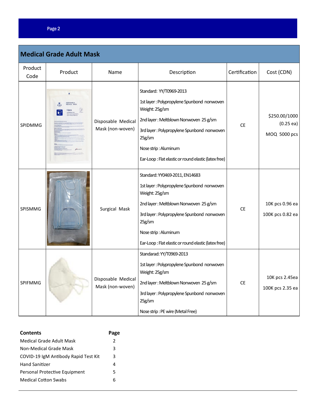### Page 2

| <b>Medical Grade Adult Mask</b> |         |                                        |                                                                                                                                                                                                                                                                                 |               |                                           |  |  |
|---------------------------------|---------|----------------------------------------|---------------------------------------------------------------------------------------------------------------------------------------------------------------------------------------------------------------------------------------------------------------------------------|---------------|-------------------------------------------|--|--|
| Product<br>Code                 | Product | Name                                   | Description                                                                                                                                                                                                                                                                     | Certification | Cost (CDN)                                |  |  |
| <b>SPIDMMG</b>                  |         | Disposable Medical<br>Mask (non-woven) | Standard: YY/T0969-2013<br>1st layer: Polypropylene Spunbond nonwoven<br>Weight: 25g/sm<br>2nd layer: Meltblown Nonwoven 25 g/sm<br>3rd layer: Polypropylene Spunbond nonwoven<br>25g/sm<br>Nose strip: Aluminum<br>Ear-Loop: Flat elastic or round elastic (latex free)        | <b>CE</b>     | \$250.00/1000<br>(0.25ea)<br>MOQ 5000 pcs |  |  |
| SPISMMG                         |         | Surgical Mask                          | Standard: YY0469-2011, EN14683<br>1st layer: Polypropylene Spunbond nonwoven<br>Weight: 25g/sm<br>2nd layer: Meltblown Nonwoven 25 g/sm<br>3rd layer: Polypropylene Spunbond nonwoven<br>25g/sm<br>Nose strip: Aluminum<br>Ear-Loop: Flat elastic or round elastic (latex free) | <b>CE</b>     | 10K pcs 0.96 ea<br>100K pcs 0.82 ea       |  |  |
| SPIFMMG                         |         | Disposable Medical<br>Mask (non-woven) | Standarad: YY/T0969-2013<br>1st layer: Polypropylene Spunbond nonwoven<br>Weight: 25g/sm<br>2nd layer: Meltblown Nonwoven 25 g/sm<br>3rd layer: Polypropylene Spunbond nonwoven<br>25g/sm<br>Nose strip: PE wire (Metal Free)                                                   | <b>CE</b>     | 10K pcs 2.45ea<br>100K pcs 2.35 ea        |  |  |

| <b>Contents</b>                      | Page          |
|--------------------------------------|---------------|
| Medical Grade Adult Mask             | $\mathcal{P}$ |
| Non-Medical Grade Mask               | 3             |
| COVID-19 IgM Antibody Rapid Test Kit | 3             |
| <b>Hand Sanitizer</b>                | 4             |
| Personal Protective Equipment        | 5             |
| <b>Medical Cotton Swabs</b>          | 6             |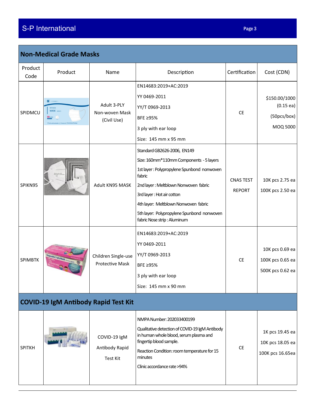## S-P International

| Page 3 |
|--------|
|--------|

| Product<br>Code | Product                                     | Name                                          | Description                                                                                                                                                                                                                                                                                                               | Certification                     | Cost (CDN)                                              |
|-----------------|---------------------------------------------|-----------------------------------------------|---------------------------------------------------------------------------------------------------------------------------------------------------------------------------------------------------------------------------------------------------------------------------------------------------------------------------|-----------------------------------|---------------------------------------------------------|
| SPIDMCU         | $-$ visvas<br><b>MASK</b> MOULTI            | Adult 3-PLY<br>Non-woven Mask<br>(Civil Use)  | EN14683:2019+AC:2019<br>YY 0469-2011<br>YY/T 0969-2013<br>BFE ≥95%<br>3 ply with ear loop<br>Size: 145 mm x 95 mm                                                                                                                                                                                                         | <b>CE</b>                         | \$150.00/1000<br>(0.15ea)<br>(50pcs/box)<br>MOQ 5000    |
| SPIKN95         |                                             | Adult KN95 MASK                               | Standard GB2626-2006, EN149<br>Size: 160mm*110mm Components - 5 layers<br>1st layer: Polypropylene Spunbond nonwoven<br>fabric<br>2nd layer: Meltblown Nonwoven fabric<br>3rd layer: Hot air cotton<br>4th layer: Meltblown Nonwoven fabric<br>5th layer: Polypropylene Spunbond nonwoven<br>fabric Nose strip : Aluminum | <b>CNAS TEST</b><br><b>REPORT</b> | 10K pcs 2.75 ea<br>100K pcs 2.50 ea                     |
| <b>SPIMBTK</b>  |                                             | Children Single-use<br><b>Protective Mask</b> | EN14683:2019+AC:2019<br>YY 0469-2011<br>YY/T 0969-2013<br>BFE ≥95%<br>3 ply with ear loop<br>Size: 145 mm x 90 mm                                                                                                                                                                                                         | <b>CE</b>                         | 10K pcs 0.69 ea<br>100K pcs 0.65 ea<br>500K pcs 0.62 ea |
|                 | <b>COVID-19 IgM Antibody Rapid Test Kit</b> |                                               |                                                                                                                                                                                                                                                                                                                           |                                   |                                                         |
| <b>SPITKH</b>   |                                             | COVID-19 IgM<br>Antibody Rapid<br>Test Kit    | NMPA Number: 202033400199<br>Qualitative detection of COVID-19 IgM Antibody<br>in human whole blood, serum plasma and<br>fingertip blood sample.<br>Reaction Condition: room temperature for 15<br>minutes<br>Clinic accordance rate >94%                                                                                 | <b>CE</b>                         | 1K pcs 19.45 ea<br>10K pcs 18.05 ea<br>100K pcs 16.65ea |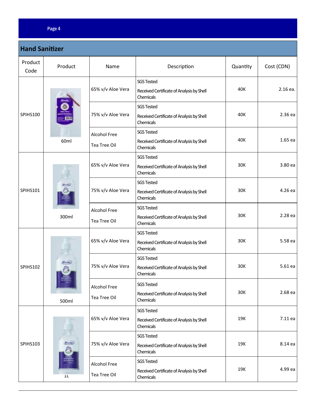#### Page 4

| <b>Hand Sanitizer</b> |            |                              |                                                                             |          |            |  |
|-----------------------|------------|------------------------------|-----------------------------------------------------------------------------|----------|------------|--|
| Product<br>Code       | Product    | Name                         | Description                                                                 | Quantity | Cost (CDN) |  |
| <b>SPIHS100</b>       | 60ml       | 65% v/v Aloe Vera            | <b>SGS Tested</b><br>Received Certificate of Analysis by Shell<br>Chemicals | 40K      | 2.16 ea.   |  |
|                       |            | 75% v/v Aloe Vera            | <b>SGS Tested</b><br>Received Certificate of Analysis by Shell<br>Chemicals | 40K      | 2.36 ea    |  |
|                       |            | Alcohol Free<br>Tea Tree Oil | <b>SGS Tested</b><br>Received Certificate of Analysis by Shell<br>Chemicals | 40K      | 1.65 ea    |  |
| <b>SPIHS101</b>       | 300ml      | 65% v/v Aloe Vera            | <b>SGS Tested</b><br>Received Certificate of Analysis by Shell<br>Chemicals | 30K      | 3.80 ea    |  |
|                       |            | 75% v/v Aloe Vera            | <b>SGS Tested</b><br>Received Certificate of Analysis by Shell<br>Chemicals | 30K      | 4.26 ea    |  |
|                       |            | Alcohol Free<br>Tea Tree Oil | <b>SGS Tested</b><br>Received Certificate of Analysis by Shell<br>Chemicals | 30K      | 2.28 ea    |  |
| <b>SPIHS102</b>       | A<br>500ml | 65% v/v Aloe Vera            | <b>SGS Tested</b><br>Received Certificate of Analysis by Shell<br>Chemicals | 30K      | 5.58 ea    |  |
|                       |            | 75% v/v Aloe Vera            | <b>SGS Tested</b><br>Received Certificate of Analysis by Shell<br>Chemicals | 30K      | 5.61 ea    |  |
|                       |            | Alcohol Free<br>Tea Tree Oil | <b>SGS Tested</b><br>Received Certificate of Analysis by Shell<br>Chemicals | 30K      | 2.68 ea    |  |
| <b>SPIHS103</b>       | 1L         | 65% v/v Aloe Vera            | <b>SGS Tested</b><br>Received Certificate of Analysis by Shell<br>Chemicals | 19K      | 7.11 ea    |  |
|                       |            | 75% v/v Aloe Vera            | <b>SGS Tested</b><br>Received Certificate of Analysis by Shell<br>Chemicals | 19K      | 8.14 ea    |  |
|                       |            | Alcohol Free<br>Tea Tree Oil | <b>SGS Tested</b><br>Received Certificate of Analysis by Shell<br>Chemicals | 19K      | 4.99 ea    |  |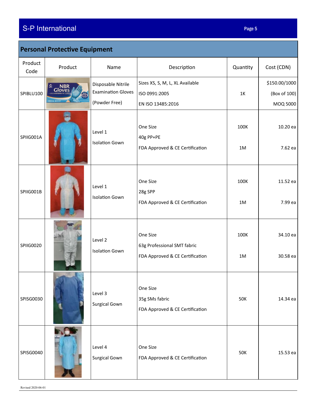### S-P International Page 5

| <b>Personal Protective Equipment</b> |                      |                                                                  |                                                                            |            |                                           |  |
|--------------------------------------|----------------------|------------------------------------------------------------------|----------------------------------------------------------------------------|------------|-------------------------------------------|--|
| Product<br>Code                      | Product              | Name                                                             | Description                                                                | Quantity   | Cost (CDN)                                |  |
| SPIBLU100                            | <b>NBR</b><br>Gloves | Disposable Nitrile<br><b>Examination Gloves</b><br>(Powder Free) | Sizes XS, S, M, L, XL Available<br>ISO 0991:2005<br>EN ISO 13485:2016      | $1K$       | \$150.00/1000<br>(Box of 100)<br>MOQ 5000 |  |
| SPIIG001A                            |                      | Level 1<br><b>Isolation Gown</b>                                 | One Size<br>40g PP+PE<br>FDA Approved & CE Certification                   | 100K<br>1M | 10.20 ea<br>7.62 ea                       |  |
| SPIIG001B                            |                      | Level 1<br><b>Isolation Gown</b>                                 | One Size<br>28g SPP<br>FDA Approved & CE Certification                     | 100K<br>1M | 11.52 ea<br>7.99 ea                       |  |
| SPIIG0020                            |                      | Level 2<br><b>Isolation Gown</b>                                 | One Size<br>63g Professional SMT fabric<br>FDA Approved & CE Certification | 100K<br>1M | 34.10 ea<br>30.58 ea                      |  |
| SPISG0030                            |                      | Level 3<br>Surgical Gown                                         | One Size<br>35g SMs fabric<br>FDA Approved & CE Certification              | 50K        | 14.34 ea                                  |  |
| SPISG0040                            |                      | Level 4<br>Surgical Gown                                         | One Size<br>FDA Approved & CE Certification                                | 50K        | 15.53 ea                                  |  |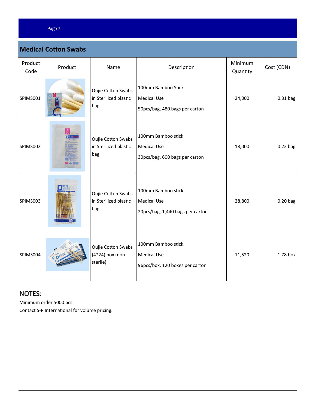### Page 7

Г

| <b>Medical Cotton Swabs</b> |         |                                                           |                                                                              |                     |            |  |  |
|-----------------------------|---------|-----------------------------------------------------------|------------------------------------------------------------------------------|---------------------|------------|--|--|
| Product<br>Code             | Product | Name                                                      | Description                                                                  | Minimum<br>Quantity | Cost (CDN) |  |  |
| SPIMS001                    |         | <b>Oujie Cotton Swabs</b><br>in Sterilized plastic<br>bag | 100mm Bamboo Stick<br><b>Medical Use</b><br>50pcs/bag, 480 bags per carton   | 24,000              | 0.31 bag   |  |  |
| SPIMS002                    |         | <b>Oujie Cotton Swabs</b><br>in Sterilized plastic<br>bag | 100mm Bamboo stick<br><b>Medical Use</b><br>30pcs/bag, 600 bags per carton   | 18,000              | $0.22$ bag |  |  |
| SPIMS003                    |         | <b>Oujie Cotton Swabs</b><br>in Sterilized plastic<br>bag | 100mm Bamboo stick<br><b>Medical Use</b><br>20pcs/bag, 1,440 bags per carton | 28,800              | $0.20$ bag |  |  |
| SPIMS004                    |         | <b>Oujie Cotton Swabs</b><br>(4*24) box (non-<br>sterile) | 100mm Bamboo stick<br><b>Medical Use</b><br>96pcs/box, 120 boxes per carton  | 11,520              | 1.78 box   |  |  |

### NOTES:

Minimum order 5000 pcs

Contact S-P International for volume pricing.